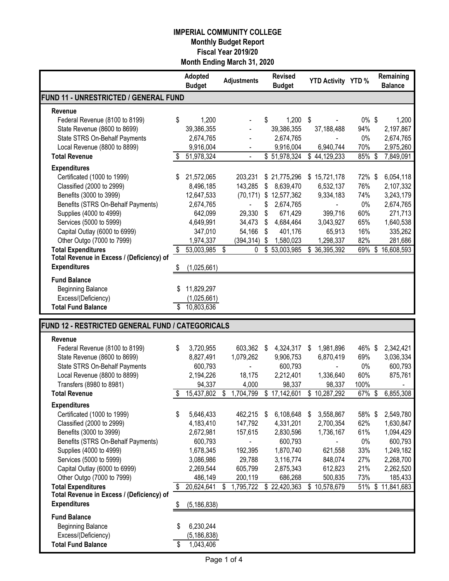|                                                  |    | Adopted<br><b>Budget</b> |    | <b>Adjustments</b> | <b>Revised</b><br><b>Budget</b> |     | <b>YTD Activity YTD %</b> |          |                                        | Remaining<br><b>Balance</b> |
|--------------------------------------------------|----|--------------------------|----|--------------------|---------------------------------|-----|---------------------------|----------|----------------------------------------|-----------------------------|
| FUND 11 - UNRESTRICTED / GENERAL FUND            |    |                          |    |                    |                                 |     |                           |          |                                        |                             |
| Revenue                                          |    |                          |    |                    |                                 |     |                           |          |                                        |                             |
| Federal Revenue (8100 to 8199)                   | \$ | 1,200                    |    |                    | \$<br>$1,200$ \$                |     |                           | $0\%$ \$ |                                        | 1,200                       |
| State Revenue (8600 to 8699)                     |    | 39,386,355               |    |                    | 39,386,355                      |     | 37,188,488                | 94%      |                                        | 2,197,867                   |
| State STRS On-Behalf Payments                    |    | 2,674,765                |    |                    | 2,674,765                       |     |                           | 0%       |                                        | 2,674,765                   |
| Local Revenue (8800 to 8899)                     |    | 9,916,004                |    |                    | 9,916,004                       |     | 6,940,744                 | 70%      |                                        | 2,975,260                   |
| <b>Total Revenue</b>                             |    | 51,978,324               |    |                    | $\overline{$}51,978,324$        |     | $\overline{$}$ 44,129,233 | 85%      | $\overline{\mathbf{3}}$                | 7,849,091                   |
| <b>Expenditures</b>                              |    |                          |    |                    |                                 |     |                           |          |                                        |                             |
| Certificated (1000 to 1999)                      | \$ | 21,572,065               |    | 203,231            | \$21,775,296                    | S.  | 15,721,178                | 72%\$    |                                        | 6,054,118                   |
| Classified (2000 to 2999)                        |    | 8,496,185                |    | 143,285            | \$<br>8,639,470                 |     | 6,532,137                 | 76%      |                                        | 2,107,332                   |
| Benefits (3000 to 3999)                          |    | 12,647,533               |    | (70, 171)          | \$12,577,362                    |     | 9,334,183                 | 74%      |                                        | 3,243,179                   |
| Benefits (STRS On-Behalf Payments)               |    | 2,674,765                |    |                    | \$<br>2,674,765                 |     |                           | 0%       |                                        | 2,674,765                   |
| Supplies (4000 to 4999)                          |    | 642,099                  |    | 29,330             | \$<br>671,429                   |     | 399,716                   | 60%      |                                        | 271,713                     |
| Services (5000 to 5999)                          |    | 4,649,991                |    | 34,473             | \$<br>4,684,464                 |     | 3,043,927                 | 65%      |                                        | 1,640,538                   |
| Capital Outlay (6000 to 6999)                    |    | 347,010                  |    | 54,166             | \$<br>401,176                   |     | 65,913                    | 16%      |                                        | 335,262                     |
| Other Outgo (7000 to 7999)                       |    | 1,974,337                |    | (394, 314)         | \$<br>1,580,023                 |     | 1,298,337                 | 82%      |                                        | 281,686                     |
| <b>Total Expenditures</b>                        | \$ | 53,003,985               | \$ | 0                  | \$53,003,985                    |     | \$36,395,392              | 69%      | \$                                     | 16,608,593                  |
| Total Revenue in Excess / (Deficiency) of        |    |                          |    |                    |                                 |     |                           |          |                                        |                             |
| <b>Expenditures</b>                              | \$ | (1,025,661)              |    |                    |                                 |     |                           |          |                                        |                             |
| <b>Fund Balance</b>                              |    |                          |    |                    |                                 |     |                           |          |                                        |                             |
| <b>Beginning Balance</b>                         | S  | 11,829,297               |    |                    |                                 |     |                           |          |                                        |                             |
| Excess/(Deficiency)                              |    | (1,025,661)              |    |                    |                                 |     |                           |          |                                        |                             |
| <b>Total Fund Balance</b>                        | \$ | 10,803,636               |    |                    |                                 |     |                           |          |                                        |                             |
|                                                  |    |                          |    |                    |                                 |     |                           |          |                                        |                             |
| FUND 12 - RESTRICTED GENERAL FUND / CATEGORICALS |    |                          |    |                    |                                 |     |                           |          |                                        |                             |
| <b>Revenue</b>                                   |    |                          |    |                    |                                 |     |                           |          |                                        |                             |
| Federal Revenue (8100 to 8199)                   | \$ | 3,720,955                |    | 603,362            | \$<br>4,324,317                 | -\$ | 1,981,896                 | 46% \$   |                                        | 2,342,421                   |
| State Revenue (8600 to 8699)                     |    | 8,827,491                |    | 1,079,262          | 9,906,753                       |     | 6,870,419                 | 69%      |                                        | 3,036,334                   |
| State STRS On-Behalf Payments                    |    | 600,793                  |    |                    | 600,793                         |     |                           | $0\%$    |                                        | 600,793                     |
| Local Revenue (8800 to 8899)                     |    | 2,194,226                |    | 18,175             | 2,212,401                       |     | 1,336,640                 | 60%      |                                        | 875,761                     |
| Transfers (8980 to 8981)                         |    | 94,337                   |    | 4,000              | 98,337                          |     | 98,337                    | 100%     |                                        |                             |
| <b>Total Revenue</b>                             | \$ | 15,437,802               | \$ | 1,704,799          | \$17,142,601                    | \$  | 10,287,292                | 67%      | $\overline{\boldsymbol{\mathfrak{s}}}$ | 6,855,308                   |
| <b>Expenditures</b>                              |    |                          |    |                    |                                 |     |                           |          |                                        |                             |
| Certificated (1000 to 1999)                      | \$ | 5,646,433                |    | 462,215 \$         | 6,108,648                       | \$  | 3,558,867                 | 58% \$   |                                        | 2,549,780                   |
| Classified (2000 to 2999)                        |    | 4,183,410                |    | 147,792            | 4,331,201                       |     | 2,700,354                 | 62%      |                                        | 1,630,847                   |
| Benefits (3000 to 3999)                          |    | 2,672,981                |    | 157,615            | 2,830,596                       |     | 1,736,167                 | 61%      |                                        | 1,094,429                   |
| Benefits (STRS On-Behalf Payments)               |    | 600,793                  |    |                    | 600,793                         |     |                           | $0\%$    |                                        | 600,793                     |
| Supplies (4000 to 4999)                          |    | 1,678,345                |    | 192,395            | 1,870,740                       |     | 621,558                   | 33%      |                                        | 1,249,182                   |
| Services (5000 to 5999)                          |    | 3,086,986                |    | 29,788             | 3,116,774                       |     | 848,074                   | 27%      |                                        | 2,268,700                   |
| Capital Outlay (6000 to 6999)                    |    | 2,269,544                |    | 605,799            | 2,875,343                       |     | 612,823                   | 21%      |                                        | 2,262,520                   |
| Other Outgo (7000 to 7999)                       |    | 486,149                  |    | 200,119            | 686,268                         |     | 500,835                   | 73%      |                                        | 185,433                     |
| <b>Total Expenditures</b>                        | \$ | 20,624,641               | S  | 1,795,722          | \$22,420,363                    |     | \$10,578,679              | 51%      | \$                                     | 11,841,683                  |
| Total Revenue in Excess / (Deficiency) of        |    |                          |    |                    |                                 |     |                           |          |                                        |                             |
| <b>Expenditures</b>                              | P. | (5, 186, 838)            |    |                    |                                 |     |                           |          |                                        |                             |
| <b>Fund Balance</b>                              |    |                          |    |                    |                                 |     |                           |          |                                        |                             |
| <b>Beginning Balance</b>                         | S  | 6,230,244                |    |                    |                                 |     |                           |          |                                        |                             |
| Excess/(Deficiency)                              |    | (5, 186, 838)            |    |                    |                                 |     |                           |          |                                        |                             |
| <b>Total Fund Balance</b>                        | \$ | 1,043,406                |    |                    |                                 |     |                           |          |                                        |                             |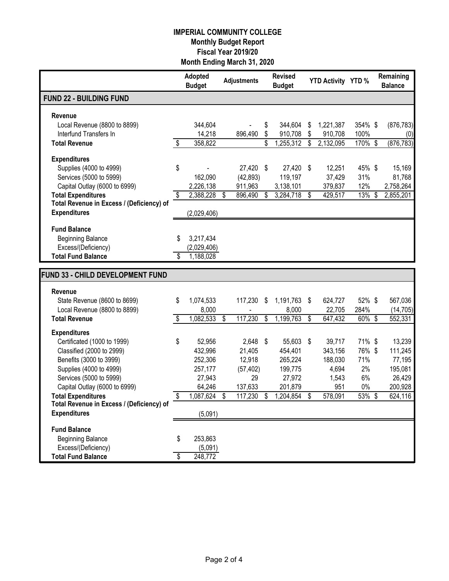|                                                                        |                         | Adopted<br><b>Budget</b> |    | <b>Adjustments</b>  |                          | <b>Revised</b><br><b>Budget</b> | <b>YTD Activity YTD %</b> |           | Remaining<br><b>Balance</b> |
|------------------------------------------------------------------------|-------------------------|--------------------------|----|---------------------|--------------------------|---------------------------------|---------------------------|-----------|-----------------------------|
| <b>FUND 22 - BUILDING FUND</b>                                         |                         |                          |    |                     |                          |                                 |                           |           |                             |
| Revenue                                                                |                         |                          |    |                     |                          |                                 |                           |           |                             |
| Local Revenue (8800 to 8899)                                           |                         | 344,604                  |    |                     | \$                       | 344,604                         | \$<br>1,221,387           | 354% \$   | (876, 783)                  |
| Interfund Transfers In                                                 |                         | 14,218                   |    | 896,490             | \$                       | 910,708                         | \$<br>910,708             | 100%      | (0)                         |
| <b>Total Revenue</b>                                                   | \$                      | 358,822                  |    |                     | \$                       | 1,255,312                       | \$<br>2,132,095           | 170% \$   | (876, 783)                  |
| <b>Expenditures</b>                                                    |                         |                          |    |                     |                          |                                 |                           |           |                             |
| Supplies (4000 to 4999)                                                | \$                      |                          |    | 27,420              | \$                       | 27,420                          | \$<br>12,251              | 45% \$    | 15,169                      |
| Services (5000 to 5999)                                                |                         | 162,090                  |    | (42, 893)           |                          | 119,197                         | 37,429                    | 31%       | 81,768                      |
| Capital Outlay (6000 to 6999)                                          |                         | 2,226,138                |    | 911,963             |                          | 3,138,101                       | 379,837                   | 12%       | 2,758,264                   |
| <b>Total Expenditures</b><br>Total Revenue in Excess / (Deficiency) of | \$                      | 2,388,228                | \$ | 896,490             | $\overline{\mathcal{S}}$ | 3,284,718                       | \$<br>429,517             | 13%       | \$<br>2,855,201             |
| <b>Expenditures</b>                                                    |                         | (2,029,406)              |    |                     |                          |                                 |                           |           |                             |
|                                                                        |                         |                          |    |                     |                          |                                 |                           |           |                             |
| <b>Fund Balance</b>                                                    |                         |                          |    |                     |                          |                                 |                           |           |                             |
| <b>Beginning Balance</b>                                               | S                       | 3,217,434                |    |                     |                          |                                 |                           |           |                             |
| Excess/(Deficiency)<br><b>Total Fund Balance</b>                       | $\overline{\mathbb{S}}$ | (2,029,406)<br>1,188,028 |    |                     |                          |                                 |                           |           |                             |
|                                                                        |                         |                          |    |                     |                          |                                 |                           |           |                             |
| FUND 33 - CHILD DEVELOPMENT FUND                                       |                         |                          |    |                     |                          |                                 |                           |           |                             |
| Revenue                                                                |                         |                          |    |                     |                          |                                 |                           |           |                             |
| State Revenue (8600 to 8699)                                           | \$                      | 1,074,533                |    | 117,230             | \$                       | 1,191,763 \$                    | 624,727                   | 52%\$     | 567,036                     |
| Local Revenue (8800 to 8899)                                           |                         | 8,000                    |    |                     |                          | 8,000                           | 22,705                    | 284%      | (14, 705)                   |
| <b>Total Revenue</b>                                                   | \$                      | 1,082,533                | \$ | 117,230             | \$                       | 1,199,763                       | \$<br>647,432             | 60% \$    | 552,331                     |
| <b>Expenditures</b>                                                    |                         |                          |    |                     |                          |                                 |                           |           |                             |
| Certificated (1000 to 1999)                                            | \$                      | 52,956                   |    | 2,648               | \$                       | 55,603 \$                       | 39,717                    | 71% \$    | 13,239                      |
| Classified (2000 to 2999)                                              |                         | 432,996                  |    | 21,405              |                          | 454,401                         | 343,156                   | 76% \$    | 111,245                     |
| Benefits (3000 to 3999)<br>Supplies (4000 to 4999)                     |                         | 252,306<br>257,177       |    | 12,918<br>(57, 402) |                          | 265,224<br>199,775              | 188,030<br>4,694          | 71%<br>2% | 77,195<br>195,081           |
| Services (5000 to 5999)                                                |                         | 27,943                   |    | 29                  |                          | 27,972                          | 1,543                     | 6%        | 26,429                      |
| Capital Outlay (6000 to 6999)                                          |                         | 64,246                   |    | 137,633             |                          | 201,879                         | 951                       | 0%        | 200,928                     |
| <b>Total Expenditures</b>                                              | \$                      | 1,087,624                | S  | 117,230             | \$                       | 1,204,854                       | \$<br>578,091             | 53% \$    | 624,116                     |
| Total Revenue in Excess / (Deficiency) of                              |                         |                          |    |                     |                          |                                 |                           |           |                             |
| <b>Expenditures</b>                                                    |                         | (5,091)                  |    |                     |                          |                                 |                           |           |                             |
| <b>Fund Balance</b>                                                    |                         |                          |    |                     |                          |                                 |                           |           |                             |
| <b>Beginning Balance</b>                                               | S                       | 253,863                  |    |                     |                          |                                 |                           |           |                             |
| Excess/(Deficiency)                                                    |                         | (5,091)                  |    |                     |                          |                                 |                           |           |                             |
| <b>Total Fund Balance</b>                                              | S                       | 248,772                  |    |                     |                          |                                 |                           |           |                             |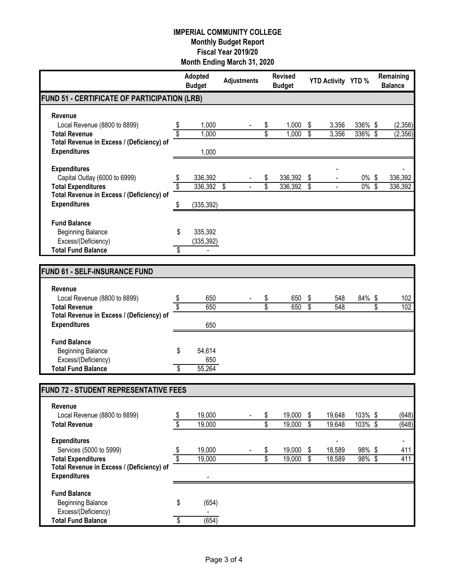|                                                                  |                               | Adopted<br><b>Budget</b> | <b>Adjustments</b> | <b>Revised</b><br><b>Budget</b> |                          | YTD Activity YTD % |                     | Remaining<br><b>Balance</b> |
|------------------------------------------------------------------|-------------------------------|--------------------------|--------------------|---------------------------------|--------------------------|--------------------|---------------------|-----------------------------|
| <b>FUND 51 - CERTIFICATE OF PARTICIPATION (LRB)</b>              |                               |                          |                    |                                 |                          |                    |                     |                             |
| <b>Revenue</b>                                                   |                               |                          |                    |                                 |                          |                    |                     |                             |
| Local Revenue (8800 to 8899)                                     |                               | 1,000                    |                    | \$<br>1,000                     | \$                       | 3,356              | 336% \$             | (2,356)                     |
| <b>Total Revenue</b>                                             |                               | 1,000                    |                    | \$<br>1,000                     | \$                       | 3,356              | 336% \$             | (2,356)                     |
| Total Revenue in Excess / (Deficiency) of                        |                               |                          |                    |                                 |                          |                    |                     |                             |
| <b>Expenditures</b>                                              |                               | 1,000                    |                    |                                 |                          |                    |                     |                             |
| <b>Expenditures</b>                                              |                               |                          |                    |                                 |                          |                    |                     |                             |
| Capital Outlay (6000 to 6999)                                    |                               | 336,392                  |                    | \$<br>336,392                   | \$                       |                    | $0\%$ \$            | 336,392                     |
| <b>Total Expenditures</b>                                        |                               | $\overline{336,392}$ \$  |                    | \$<br>336,392                   | \$                       |                    | $0\%$ \$            | 336,392                     |
| Total Revenue in Excess / (Deficiency) of                        |                               |                          |                    |                                 |                          |                    |                     |                             |
| <b>Expenditures</b>                                              | \$                            | (335, 392)               |                    |                                 |                          |                    |                     |                             |
| <b>Fund Balance</b>                                              |                               |                          |                    |                                 |                          |                    |                     |                             |
| <b>Beginning Balance</b>                                         | \$                            | 335,392                  |                    |                                 |                          |                    |                     |                             |
| Excess/(Deficiency)                                              |                               | (335, 392)               |                    |                                 |                          |                    |                     |                             |
| <b>Total Fund Balance</b>                                        | \$                            |                          |                    |                                 |                          |                    |                     |                             |
|                                                                  |                               |                          |                    |                                 |                          |                    |                     |                             |
| <b>FUND 61 - SELF-INSURANCE FUND</b>                             |                               |                          |                    |                                 |                          |                    |                     |                             |
| Revenue                                                          |                               |                          |                    |                                 |                          |                    |                     |                             |
| Local Revenue (8800 to 8899)                                     | \$                            | 650                      |                    | \$<br>650                       | \$                       | 548                | 84% \$              | 102                         |
| <b>Total Revenue</b>                                             |                               | 650                      |                    | \$<br>650                       | \$                       | 548                |                     | \$<br>102                   |
| Total Revenue in Excess / (Deficiency) of                        |                               |                          |                    |                                 |                          |                    |                     |                             |
| <b>Expenditures</b>                                              |                               | 650                      |                    |                                 |                          |                    |                     |                             |
| <b>Fund Balance</b>                                              |                               |                          |                    |                                 |                          |                    |                     |                             |
| <b>Beginning Balance</b>                                         | \$                            | 54,614                   |                    |                                 |                          |                    |                     |                             |
| Excess/(Deficiency)                                              |                               | 650                      |                    |                                 |                          |                    |                     |                             |
| <b>Total Fund Balance</b>                                        | \$                            | 55,264                   |                    |                                 |                          |                    |                     |                             |
| FUND 72 - STUDENT REPRESENTATIVE FEES                            |                               |                          |                    |                                 |                          |                    |                     |                             |
|                                                                  |                               |                          |                    |                                 |                          |                    |                     |                             |
| Revenue<br>Local Revenue (8800 to 8899)                          |                               | 19,000                   |                    | \$<br>19,000                    | \$                       | 19,648             | 103% \$             | (648)                       |
| <b>Total Revenue</b>                                             | \$<br>$\overline{\mathbf{s}}$ | 19,000                   |                    | \$<br>19,000                    | $\overline{\mathcal{S}}$ | 19,648             | 103% \$             | (648)                       |
|                                                                  |                               |                          |                    |                                 |                          |                    |                     |                             |
| <b>Expenditures</b>                                              |                               |                          |                    |                                 |                          |                    |                     |                             |
| Services (5000 to 5999)                                          | \$                            | 19,000                   |                    | \$<br>19,000                    | \$                       | 18,589             | 98%\$               | 411                         |
| <b>Total Expenditures</b>                                        | \$                            | 19,000                   |                    | \$<br>19,000                    | \$                       | 18,589             | $\frac{1}{98\%}$ \$ | 411                         |
| Total Revenue in Excess / (Deficiency) of<br><b>Expenditures</b> |                               |                          |                    |                                 |                          |                    |                     |                             |
|                                                                  |                               |                          |                    |                                 |                          |                    |                     |                             |
| <b>Fund Balance</b>                                              |                               |                          |                    |                                 |                          |                    |                     |                             |
| <b>Beginning Balance</b>                                         | \$                            | (654)                    |                    |                                 |                          |                    |                     |                             |
| Excess/(Deficiency)                                              |                               |                          |                    |                                 |                          |                    |                     |                             |
| <b>Total Fund Balance</b>                                        | \$                            | (654)                    |                    |                                 |                          |                    |                     |                             |